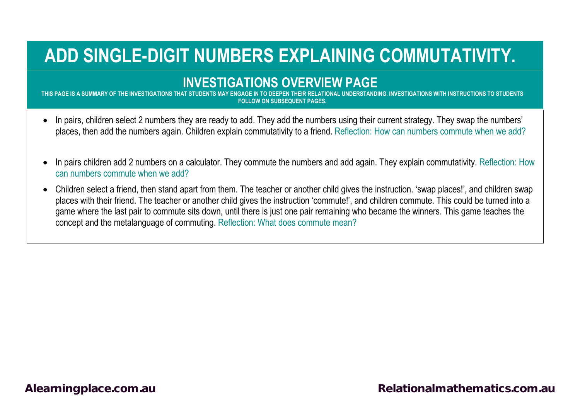## **ADD SINGLE-DIGIT NUMBERS EXPLAINING COMMUTATIVITY.**

## **INVESTIGATIONS OVERVIEW PAGE**

**THIS PAGE IS A SUMMARY OF THE INVESTIGATIONS THAT STUDENTS MAY ENGAGE IN TO DEEPEN THEIR RELATIONAL UNDERSTANDING. INVESTIGATIONS WITH INSTRUCTIONS TO STUDENTS FOLLOW ON SUBSEQUENT PAGES.**

- In pairs, children select 2 numbers they are ready to add. They add the numbers using their current strategy. They swap the numbers' places, then add the numbers again. Children explain commutativity to a friend. Reflection: How can numbers commute when we add?
- In pairs children add 2 numbers on a calculator. They commute the numbers and add again. They explain commutativity. Reflection: How can numbers commute when we add?
- Children select a friend, then stand apart from them. The teacher or another child gives the instruction. 'swap places!', and children swap places with their friend. The teacher or another child gives the instruction 'commute!', and children commute. This could be turned into a game where the last pair to commute sits down, until there is just one pair remaining who became the winners. This game teaches the concept and the metalanguage of commuting. Reflection: What does commute mean?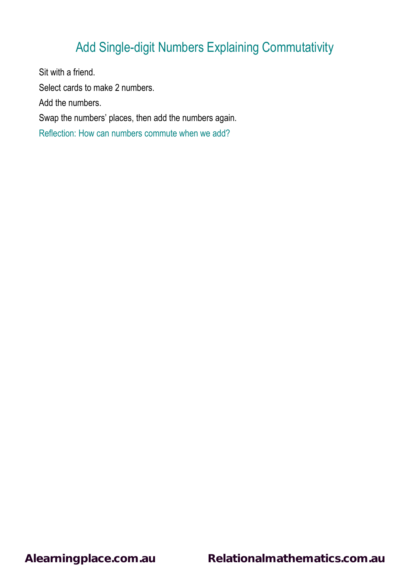## Add Single-digit Numbers Explaining Commutativity

Sit with a friend. Select cards to make 2 numbers. Add the numbers. Swap the numbers' places, then add the numbers again. Reflection: How can numbers commute when we add?